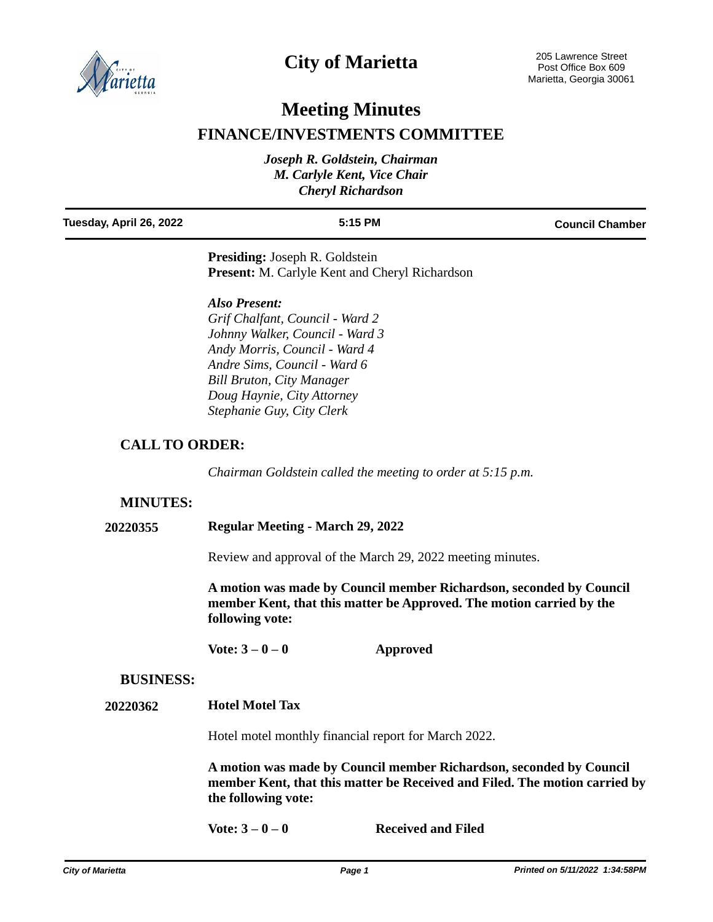

# **City of Marietta**

## **Meeting Minutes**

## **FINANCE/INVESTMENTS COMMITTEE**

| Joseph R. Goldstein, Chairman |  |  |
|-------------------------------|--|--|
| M. Carlyle Kent, Vice Chair   |  |  |
| <b>Cheryl Richardson</b>      |  |  |

| Tuesday, April 26, 2022 | $5:15$ PM                             | <b>Council Chamber</b> |
|-------------------------|---------------------------------------|------------------------|
|                         | <b>Presiding:</b> Joseph R. Goldstein |                        |

**Present:** M. Carlyle Kent and Cheryl Richardson

### *Also Present:*

*Grif Chalfant, Council - Ward 2 Johnny Walker, Council - Ward 3 Andy Morris, Council - Ward 4 Andre Sims, Council - Ward 6 Bill Bruton, City Manager Doug Haynie, City Attorney Stephanie Guy, City Clerk*

## **CALL TO ORDER:**

*Chairman Goldstein called the meeting to order at 5:15 p.m.*

### **MINUTES:**

### **20220355 Regular Meeting - March 29, 2022**

Review and approval of the March 29, 2022 meeting minutes.

**A motion was made by Council member Richardson, seconded by Council member Kent, that this matter be Approved. The motion carried by the following vote:**

**Vote: 3 – 0 – 0 Approved**

### **BUSINESS:**

#### **20220362 Hotel Motel Tax**

Hotel motel monthly financial report for March 2022.

**A motion was made by Council member Richardson, seconded by Council member Kent, that this matter be Received and Filed. The motion carried by the following vote:**

**Vote: 3 – 0 – 0 Received and Filed**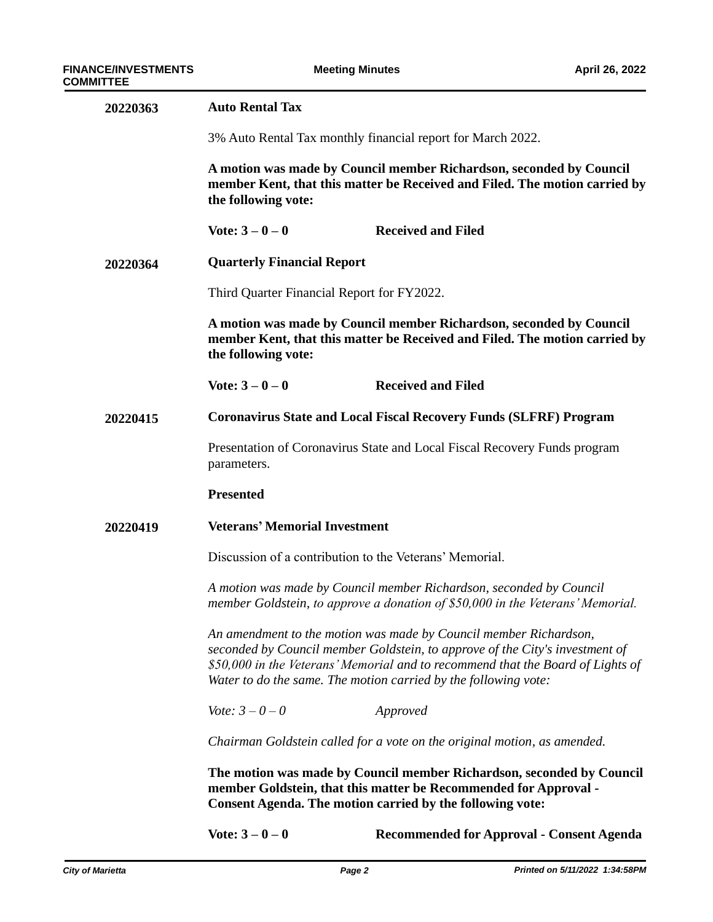| 20220363 | <b>Auto Rental Tax</b>                                                                                                                                                                                                                                                                                                                                                                                                                                                                                                      |                                                                          |  |
|----------|-----------------------------------------------------------------------------------------------------------------------------------------------------------------------------------------------------------------------------------------------------------------------------------------------------------------------------------------------------------------------------------------------------------------------------------------------------------------------------------------------------------------------------|--------------------------------------------------------------------------|--|
|          | 3% Auto Rental Tax monthly financial report for March 2022.<br>A motion was made by Council member Richardson, seconded by Council<br>member Kent, that this matter be Received and Filed. The motion carried by<br>the following vote:                                                                                                                                                                                                                                                                                     |                                                                          |  |
|          |                                                                                                                                                                                                                                                                                                                                                                                                                                                                                                                             |                                                                          |  |
|          | Vote: $3 - 0 - 0$                                                                                                                                                                                                                                                                                                                                                                                                                                                                                                           | <b>Received and Filed</b>                                                |  |
| 20220364 | <b>Quarterly Financial Report</b>                                                                                                                                                                                                                                                                                                                                                                                                                                                                                           |                                                                          |  |
|          | Third Quarter Financial Report for FY2022.                                                                                                                                                                                                                                                                                                                                                                                                                                                                                  |                                                                          |  |
|          | A motion was made by Council member Richardson, seconded by Council<br>member Kent, that this matter be Received and Filed. The motion carried by<br>the following vote:                                                                                                                                                                                                                                                                                                                                                    |                                                                          |  |
|          | Vote: $3 - 0 - 0$                                                                                                                                                                                                                                                                                                                                                                                                                                                                                                           | <b>Received and Filed</b>                                                |  |
| 20220415 | <b>Coronavirus State and Local Fiscal Recovery Funds (SLFRF) Program</b>                                                                                                                                                                                                                                                                                                                                                                                                                                                    |                                                                          |  |
|          | Presentation of Coronavirus State and Local Fiscal Recovery Funds program<br>parameters.                                                                                                                                                                                                                                                                                                                                                                                                                                    |                                                                          |  |
|          | <b>Presented</b>                                                                                                                                                                                                                                                                                                                                                                                                                                                                                                            |                                                                          |  |
| 20220419 | <b>Veterans' Memorial Investment</b>                                                                                                                                                                                                                                                                                                                                                                                                                                                                                        |                                                                          |  |
|          | Discussion of a contribution to the Veterans' Memorial.<br>A motion was made by Council member Richardson, seconded by Council<br>member Goldstein, to approve a donation of \$50,000 in the Veterans' Memorial.<br>An amendment to the motion was made by Council member Richardson,<br>seconded by Council member Goldstein, to approve of the City's investment of<br>\$50,000 in the Veterans' Memorial and to recommend that the Board of Lights of<br>Water to do the same. The motion carried by the following vote: |                                                                          |  |
|          |                                                                                                                                                                                                                                                                                                                                                                                                                                                                                                                             |                                                                          |  |
|          |                                                                                                                                                                                                                                                                                                                                                                                                                                                                                                                             |                                                                          |  |
|          | <i>Vote:</i> $3 - 0 - 0$                                                                                                                                                                                                                                                                                                                                                                                                                                                                                                    | Approved                                                                 |  |
|          |                                                                                                                                                                                                                                                                                                                                                                                                                                                                                                                             | Chairman Goldstein called for a vote on the original motion, as amended. |  |
|          | The motion was made by Council member Richardson, seconded by Council<br>member Goldstein, that this matter be Recommended for Approval -<br><b>Consent Agenda. The motion carried by the following vote:</b>                                                                                                                                                                                                                                                                                                               |                                                                          |  |
|          | Vote: $3 - 0 - 0$                                                                                                                                                                                                                                                                                                                                                                                                                                                                                                           | <b>Recommended for Approval - Consent Agenda</b>                         |  |